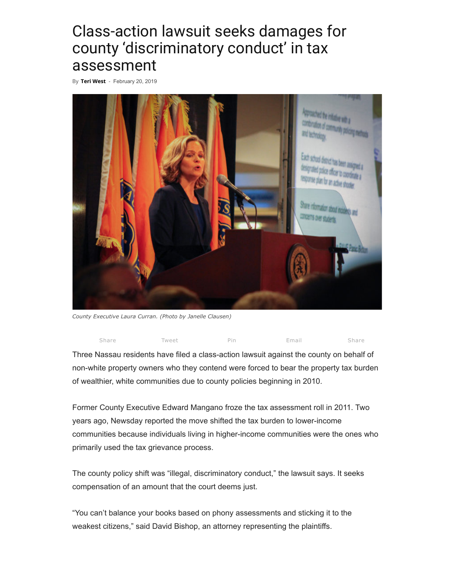## Class-action lawsuit seeks damages for county 'discriminatory conduct' in tax assessment

By Teri [West](https://theislandnow.com/author/twest/) - February 20, 2019



County Executive Laura Curran. (Photo by Janelle Clausen)



Three Nassau residents have filed a class-action lawsuit against the county on behalf of non-white property owners who they contend were forced to bear the property tax burden of wealthier, white communities due to county policies beginning in 2010.

Former County Executive Edward Mangano froze the tax assessment roll in 2011. Two years ago, Newsday reported the move shifted the tax burden to lower-income communities because individuals living in higher-income communities were the ones who primarily used the tax grievance process.

The county policy shift was "illegal, discriminatory conduct," the lawsuit says. It seeks compensation of an amount that the court deems just.

"You can't balance your books based on phony assessments and sticking it to the weakest citizens," said David Bishop, an attorney representing the plaintiffs.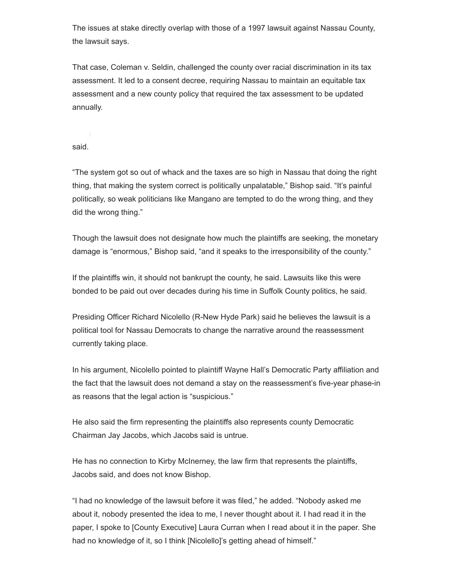The issues at stake directly overlap with those of a 1997 lawsuit against Nassau County, the lawsuit says.

That case, Coleman v. Seldin, challenged the county over racial discrimination in its tax assessment. It led to a consent decree, requiring Nassau to maintain an equitable tax assessment and a new county policy that required the tax assessment to be updated annually.

said.

"The system got so out of whack and the taxes are so high in Nassau that doing the right thing, that making the system correct is politically unpalatable," Bishop said. "It's painful politically, so weak politicians like Mangano are tempted to do the wrong thing, and they did the wrong thing."

Though the lawsuit does not designate how much the plaintiffs are seeking, the monetary damage is "enormous," Bishop said, "and it speaks to the irresponsibility of the county."

If the plaintiffs win, it should not bankrupt the county, he said. Lawsuits like this were bonded to be paid out over decades during his time in Suffolk County politics, he said.

Presiding Officer Richard Nicolello (R-New Hyde Park) said he believes the lawsuit is a political tool for Nassau Democrats to change the narrative around the reassessment currently taking place.

In his argument, Nicolello pointed to plaintiff Wayne Hall's Democratic Party affiliation and the fact that the lawsuit does not demand a stay on the reassessment's five-year phase-in as reasons that the legal action is "suspicious."

He also said the firm representing the plaintiffs also represents county Democratic Chairman Jay Jacobs, which Jacobs said is untrue.

He has no connection to Kirby McInerney, the law firm that represents the plaintiffs, Jacobs said, and does not know Bishop.

"I had no knowledge of the lawsuit before it was filed," he added. "Nobody asked me about it, nobody presented the idea to me, I never thought about it. I had read it in the paper, I spoke to [County Executive] Laura Curran when I read about it in the paper. She had no knowledge of it, so I think [Nicolello]'s getting ahead of himself."